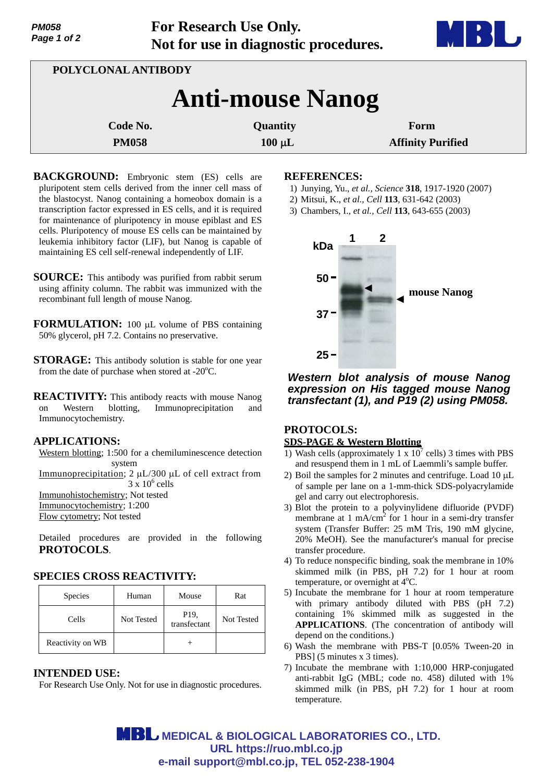| <b>PM058</b> |  |  |  |
|--------------|--|--|--|
| Page 1 of 2  |  |  |  |

**For Research Use Only. Not for use in diagnostic procedures.**



| POLYCLONAL ANTIBODY     |             |                          |  |  |
|-------------------------|-------------|--------------------------|--|--|
| <b>Anti-mouse Nanog</b> |             |                          |  |  |
| Code No.                | Quantity    | Form                     |  |  |
| <b>PM058</b>            | $100 \mu L$ | <b>Affinity Purified</b> |  |  |

**BACKGROUND:** Embryonic stem (ES) cells are pluripotent stem cells derived from the inner cell mass of the blastocyst. Nanog containing a homeobox domain is a transcription factor expressed in ES cells, and it is required for maintenance of pluripotency in mouse epiblast and ES cells. Pluripotency of mouse ES cells can be maintained by leukemia inhibitory factor (LIF), but Nanog is capable of maintaining ES cell self-renewal independently of LIF.

**SOURCE:** This antibody was purified from rabbit serum using affinity column. The rabbit was immunized with the recombinant full length of mouse Nanog.

**FORMULATION:** 100 µL volume of PBS containing 50% glycerol, pH 7.2. Contains no preservative.

**STORAGE:** This antibody solution is stable for one year from the date of purchase when stored at - $20^{\circ}$ C.

**REACTIVITY:** This antibody reacts with mouse Nanog on Western blotting, Immunoprecipitation and Immunocytochemistry.

## **APPLICATIONS:**

Western blotting; 1:500 for a chemiluminescence detection system Immunoprecipitation;  $2 \mu L/300 \mu L$  of cell extract from  $3 \times 10^6$  cells

Immunohistochemistry; Not tested

Immunocytochemistry; 1:200

Flow cytometry; Not tested

Detailed procedures are provided in the following **PROTOCOLS**.

# **SPECIES CROSS REACTIVITY:**

| <b>Species</b>   | Human      | Mouse                           | Rat        |
|------------------|------------|---------------------------------|------------|
| Cells            | Not Tested | P <sub>19</sub><br>transfectant | Not Tested |
| Reactivity on WB |            |                                 |            |

### **INTENDED USE:**

For Research Use Only. Not for use in diagnostic procedures.

#### **REFERENCES:**

- 1) Junying, Yu., *et al., Science* **318**, 1917-1920 (2007)
- 2) Mitsui, K., *et al., Cell* **113**, 631-642 (2003)

3) Chambers, I., *et al., Cell* **113**, 643-655 (2003)



*Western blot analysis of mouse Nanog expression on His tagged mouse Nanog transfectant (1), and P19 (2) using PM058.*

# **PROTOCOLS:**

## **SDS-PAGE & Western Blotting**

- 1) Wash cells (approximately 1 x  $10^7$  cells) 3 times with PBS and resuspend them in 1 mL of Laemmli's sample buffer.
- 2) Boil the samples for 2 minutes and centrifuge. Load  $10 \mu L$ of sample per lane on a 1-mm-thick SDS-polyacrylamide gel and carry out electrophoresis.
- 3) Blot the protein to a polyvinylidene difluoride (PVDF) membrane at  $1 \text{ mA/cm}^2$  for 1 hour in a semi-dry transfer system (Transfer Buffer: 25 mM Tris, 190 mM glycine, 20% MeOH). See the manufacturer's manual for precise transfer procedure.
- 4) To reduce nonspecific binding, soak the membrane in 10% skimmed milk (in PBS, pH 7.2) for 1 hour at room temperature, or overnight at  $4^{\circ}$ C.
- 5) Incubate the membrane for 1 hour at room temperature with primary antibody diluted with PBS (pH 7.2) containing 1% skimmed milk as suggested in the **APPLICATIONS**. (The concentration of antibody will depend on the conditions.)
- 6) Wash the membrane with PBS-T [0.05% Tween-20 in PBS] (5 minutes x 3 times).
- 7) Incubate the membrane with 1:10,000 HRP-conjugated anti-rabbit IgG (MBL; code no. 458) diluted with 1% skimmed milk (in PBS, pH 7.2) for 1 hour at room temperature.

**MBL** MEDICAL & BIOLOGICAL LABORATORIES CO., LTD. **URL https://ruo.mbl.co.jp e-mail support@mbl.co.jp, TEL 052-238-1904**